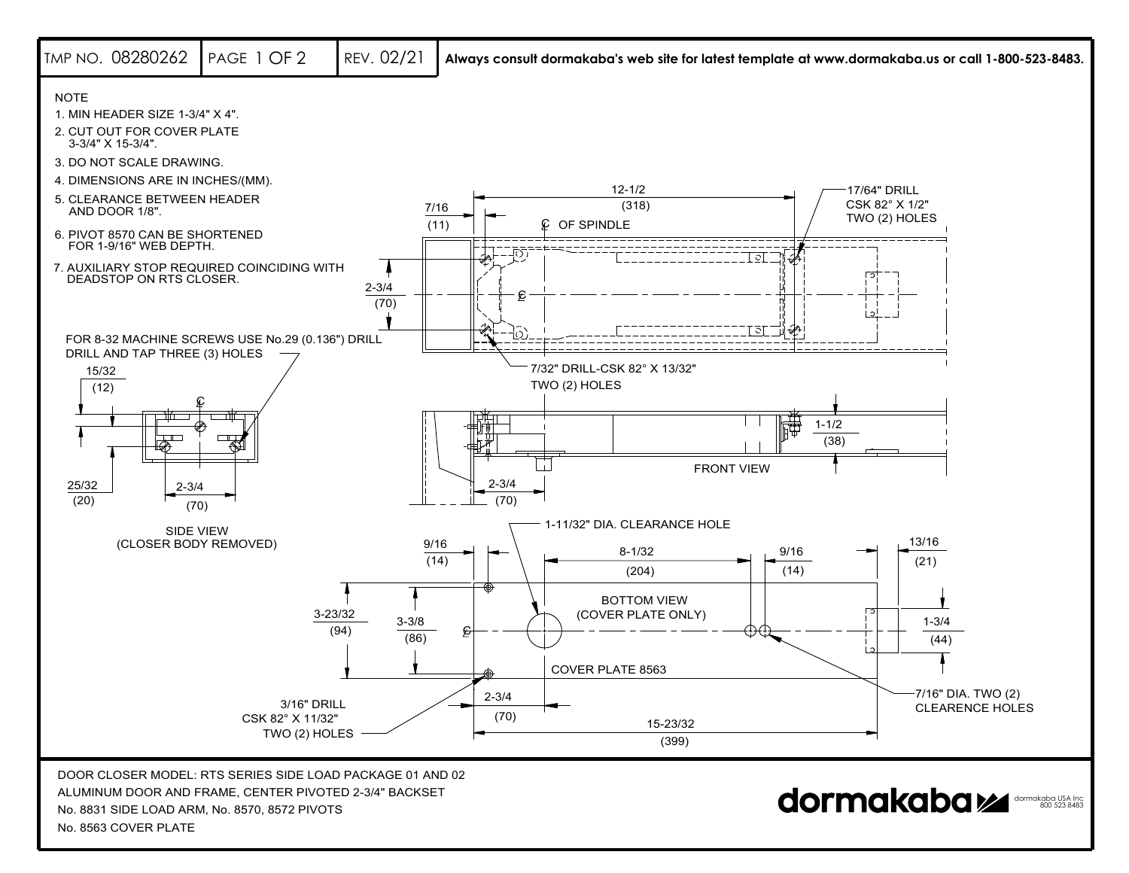

No. 8563 COVER PLATE